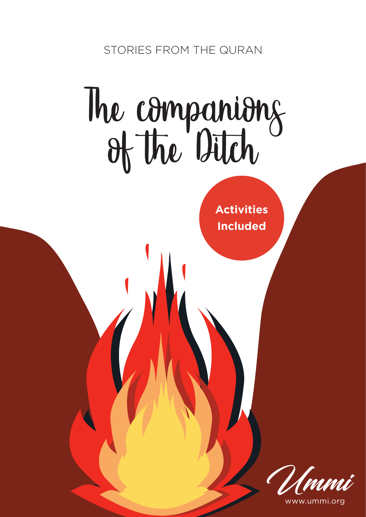STORIES FROM THE QURAN

# The companions of the Ditch

**Activities Included**

www.ummi.org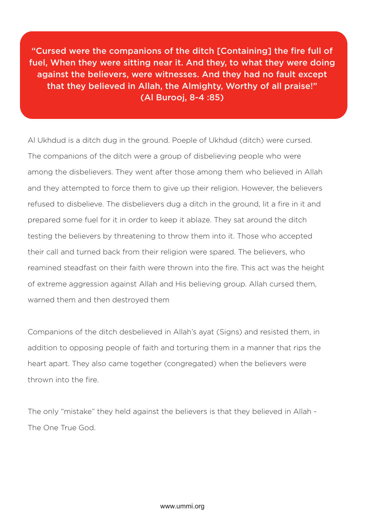"Cursed were the companions of the ditch [Containing] the fire full of fuel, When they were sitting near it. And they, to what they were doing against the believers, were witnesses. And they had no fault except that they believed in Allah, the Almighty, Worthy of all praise!" (Al Burooj, 8-4 :85)

Al Ukhdud is a ditch dug in the ground. Poeple of Ukhdud (ditch) were cursed. The companions of the ditch were a group of disbelieving people who were among the disbelievers. They went after those among them who believed in Allah and they attempted to force them to give up their religion. However, the believers refused to disbelieve. The disbelievers dug a ditch in the ground, lit a fire in it and prepared some fuel for it in order to keep it ablaze. They sat around the ditch testing the believers by threatening to throw them into it. Those who accepted their call and turned back from their religion were spared. The believers, who reamined steadfast on their faith were thrown into the fire. This act was the height of extreme aggression against Allah and His believing group. Allah cursed them, warned them and then destroyed them

Companions of the ditch desbelieved in Allah's ayat (Signs) and resisted them, in addition to opposing people of faith and torturing them in a manner that rips the heart apart. They also came together (congregated) when the believers were thrown into the fire.

The only "mistake" they held against the believers is that they believed in Allah - The One True God.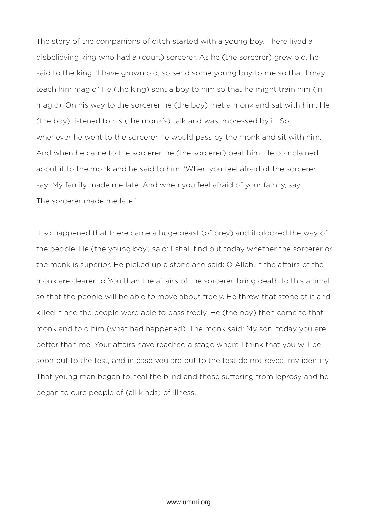The story of the companions of ditch started with a young boy. There lived a disbelieving king who had a (court) sorcerer. As he (the sorcerer) grew old, he said to the king: 'I have grown old, so send some young boy to me so that I may teach him magic.' He (the king) sent a boy to him so that he might train him (in magic). On his way to the sorcerer he (the boy) met a monk and sat with him. He (the boy) listened to his (the monk's) talk and was impressed by it. So whenever he went to the sorcerer he would pass by the monk and sit with him. And when he came to the sorcerer, he (the sorcerer) beat him. He complained about it to the monk and he said to him: 'When you feel afraid of the sorcerer, say: My family made me late. And when you feel afraid of your family, say: The sorcerer made me late.'

It so happened that there came a huge beast (of prey) and it blocked the way of the people. He (the young boy) said: I shall find out today whether the sorcerer or the monk is superior. He picked up a stone and said: O Allah, if the affairs of the monk are dearer to You than the affairs of the sorcerer, bring death to this animal so that the people will be able to move about freely. He threw that stone at it and killed it and the people were able to pass freely. He (the boy) then came to that monk and told him (what had happened). The monk said: My son, today you are better than me. Your affairs have reached a stage where I think that you will be soon put to the test, and in case you are put to the test do not reveal my identity. That young man began to heal the blind and those suffering from leprosy and he began to cure people of (all kinds) of illness.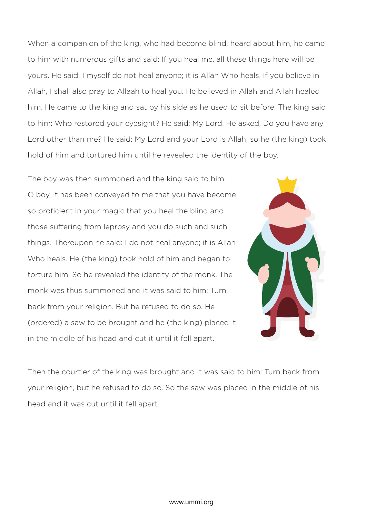When a companion of the king, who had become blind, heard about him, he came to him with numerous gifts and said: If you heal me, all these things here will be yours. He said: I myself do not heal anyone; it is Allah Who heals. If you believe in Allah, I shall also pray to Allaah to heal you. He believed in Allah and Allah healed him. He came to the king and sat by his side as he used to sit before. The king said to him: Who restored your eyesight? He said: My Lord. He asked, Do you have any Lord other than me? He said: My Lord and your Lord is Allah; so he (the king) took hold of him and tortured him until he revealed the identity of the boy.

The boy was then summoned and the king said to him: O boy, it has been conveyed to me that you have become so proficient in your magic that you heal the blind and those suffering from leprosy and you do such and such things. Thereupon he said: I do not heal anyone; it is Allah Who heals. He (the king) took hold of him and began to torture him. So he revealed the identity of the monk. The monk was thus summoned and it was said to him: Turn back from your religion. But he refused to do so. He (ordered) a saw to be brought and he (the king) placed it in the middle of his head and cut it until it fell apart.



Then the courtier of the king was brought and it was said to him: Turn back from your religion, but he refused to do so. So the saw was placed in the middle of his head and it was cut until it fell apart.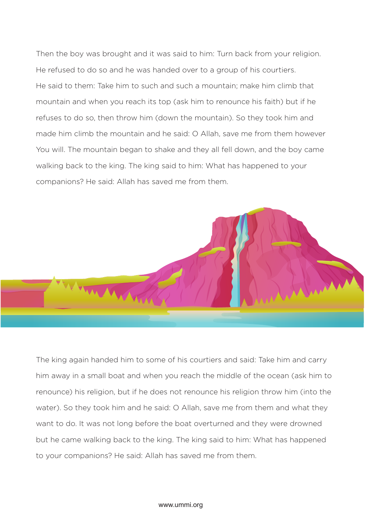Then the boy was brought and it was said to him: Turn back from your religion. He refused to do so and he was handed over to a group of his courtiers. He said to them: Take him to such and such a mountain; make him climb that mountain and when you reach its top (ask him to renounce his faith) but if he refuses to do so, then throw him (down the mountain). So they took him and made him climb the mountain and he said: O Allah, save me from them however You will. The mountain began to shake and they all fell down, and the boy came walking back to the king. The king said to him: What has happened to your companions? He said: Allah has saved me from them.



The king again handed him to some of his courtiers and said: Take him and carry him away in a small boat and when you reach the middle of the ocean (ask him to renounce) his religion, but if he does not renounce his religion throw him (into the water). So they took him and he said: O Allah, save me from them and what they want to do. It was not long before the boat overturned and they were drowned but he came walking back to the king. The king said to him: What has happened to your companions? He said: Allah has saved me from them.

### www.ummi.org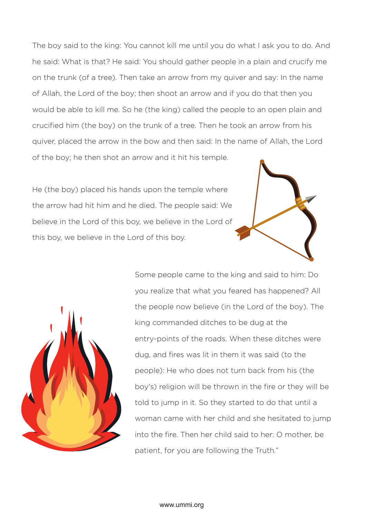The boy said to the king: You cannot kill me until you do what I ask you to do. And he said: What is that? He said: You should gather people in a plain and crucify me on the trunk (of a tree). Then take an arrow from my quiver and say: In the name of Allah, the Lord of the boy; then shoot an arrow and if you do that then you would be able to kill me. So he (the king) called the people to an open plain and crucified him (the boy) on the trunk of a tree. Then he took an arrow from his quiver, placed the arrow in the bow and then said: In the name of Allah, the Lord of the boy; he then shot an arrow and it hit his temple.

He (the boy) placed his hands upon the temple where the arrow had hit him and he died. The people said: We believe in the Lord of this boy, we believe in the Lord of this boy, we believe in the Lord of this boy.





Some people came to the king and said to him: Do you realize that what you feared has happened? All the people now believe (in the Lord of the boy). The king commanded ditches to be dug at the entry-points of the roads. When these ditches were dug, and fires was lit in them it was said (to the people): He who does not turn back from his (the boy's) religion will be thrown in the fire or they will be told to jump in it. So they started to do that until a woman came with her child and she hesitated to jump into the fire. Then her child said to her: O mother, be patient, for you are following the Truth."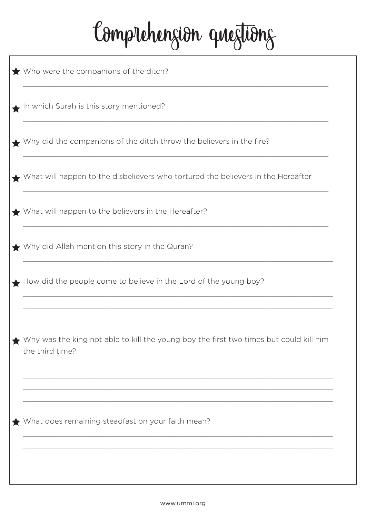# Comprehension questions

 $\_$  , and the contribution of the contribution of  $\mathcal{L}_\mathcal{A}$  , and the contribution of  $\mathcal{L}_\mathcal{A}$ 

 $\_$  , and the contribution of the contribution of  $\mathcal{L}_\mathcal{A}$  , and the contribution of  $\mathcal{L}_\mathcal{A}$ 

 $\_$  , and the contribution of the contribution of  $\mathcal{L}_\mathcal{A}$  , and the contribution of  $\mathcal{L}_\mathcal{A}$ 

 $\_$  , and the set of the set of the set of the set of the set of the set of the set of the set of the set of the set of the set of the set of the set of the set of the set of the set of the set of the set of the set of th

 $\_$  , and the set of the set of the set of the set of the set of the set of the set of the set of the set of the set of the set of the set of the set of the set of the set of the set of the set of the set of the set of th

\_\_\_\_\_\_\_\_\_\_\_\_\_\_\_\_\_\_\_\_\_\_\_\_\_\_\_\_\_\_\_\_\_\_\_\_\_\_\_\_\_\_\_\_\_\_\_\_\_\_\_\_\_\_\_\_\_\_\_\_\_\_\_\_\_\_\_\_\_\_

\_\_\_\_\_\_\_\_\_\_\_\_\_\_\_\_\_\_\_\_\_\_\_\_\_\_\_\_\_\_\_\_\_\_\_\_\_\_\_\_\_\_\_\_\_\_\_\_\_\_\_\_\_\_\_\_\_\_\_\_\_\_\_\_\_\_\_\_\_\_  $\_$  , and the contribution of the contribution of  $\mathcal{L}_\mathcal{A}$  , and the contribution of  $\mathcal{L}_\mathcal{A}$ 

 $\bigstar$  Who were the companions of the ditch?

In which Surah is this story mentioned?

Why did the companions of the ditch throw the believers in the fire?

What will happen to the disbelievers who tortured the believers in the Hereafter

What will happen to the believers in the Hereafter?

Why did Allah mention this story in the Quran?

How did the people come to believe in the Lord of the young boy?

Why was the king not able to kill the young boy the first two times but could kill him the third time?

 $\_$  , and the contribution of the contribution of  $\mathcal{L}_\mathcal{A}$  , and the contribution of  $\mathcal{L}_\mathcal{A}$  $\_$  , and the contribution of the contribution of  $\mathcal{L}_\mathcal{A}$  , and the contribution of  $\mathcal{L}_\mathcal{A}$ \_\_\_\_\_\_\_\_\_\_\_\_\_\_\_\_\_\_\_\_\_\_\_\_\_\_\_\_\_\_\_\_\_\_\_\_\_\_\_\_\_\_\_\_\_\_\_\_\_\_\_\_\_\_\_\_\_\_\_\_\_\_\_\_\_\_\_\_\_\_

\_\_\_\_\_\_\_\_\_\_\_\_\_\_\_\_\_\_\_\_\_\_\_\_\_\_\_\_\_\_\_\_\_\_\_\_\_\_\_\_\_\_\_\_\_\_\_\_\_\_\_\_\_\_\_\_\_\_\_\_\_\_\_\_\_\_\_\_\_\_  $\_$  , and the contribution of the contribution of  $\mathcal{L}_\mathcal{A}$  , and the contribution of  $\mathcal{L}_\mathcal{A}$ 

What does remaining steadfast on your faith mean?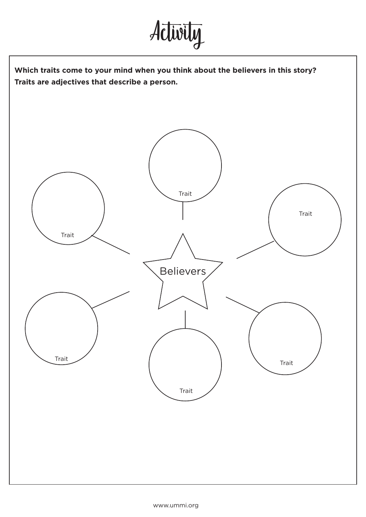